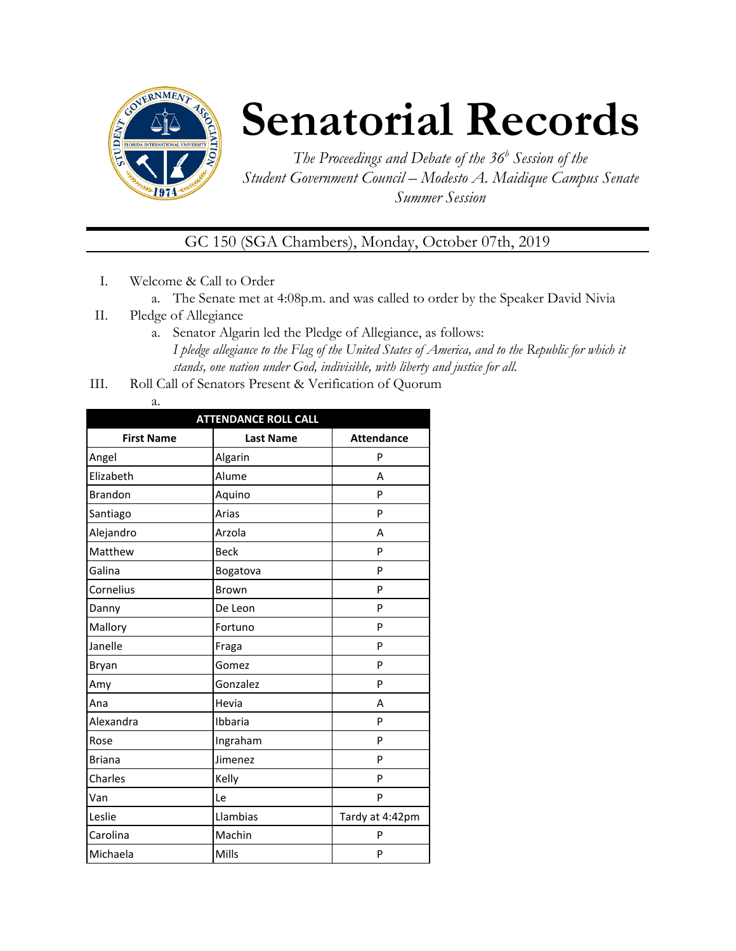

## **Senatorial Records**

*The Proceedings and Debate of the 36 <sup>h</sup> Session of the Student Government Council – Modesto A. Maidique Campus Senate Summer Session*

## GC 150 (SGA Chambers), Monday, October 07th, 2019

- I. Welcome & Call to Order
	- a. The Senate met at 4:08p.m. and was called to order by the Speaker David Nivia
- II. Pledge of Allegiance
	- a. Senator Algarin led the Pledge of Allegiance, as follows: *I pledge allegiance to the Flag of the United States of America, and to the Republic for which it stands, one nation under God, indivisible, with liberty and justice for all.*
- III. Roll Call of Senators Present & Verification of Quorum
	- a.

| <b>ATTENDANCE ROLL CALL</b> |                  |                   |  |
|-----------------------------|------------------|-------------------|--|
| <b>First Name</b>           | <b>Last Name</b> | <b>Attendance</b> |  |
| Angel                       | Algarin          | P                 |  |
| Elizabeth                   | Alume            | А                 |  |
| <b>Brandon</b>              | Aquino           | P                 |  |
| Santiago                    | Arias            | P                 |  |
| Alejandro                   | Arzola           | A                 |  |
| Matthew                     | <b>Beck</b>      | P                 |  |
| Galina                      | Bogatova         | P                 |  |
| Cornelius                   | Brown            | P                 |  |
| Danny                       | De Leon          | P                 |  |
| Mallory                     | Fortuno          | P                 |  |
| Janelle                     | Fraga            | P                 |  |
| Bryan                       | Gomez            | P                 |  |
| Amy                         | Gonzalez         | P                 |  |
| Ana                         | Hevia            | А                 |  |
| Alexandra                   | Ibbaria          | P                 |  |
| Rose                        | Ingraham         | P                 |  |
| <b>Briana</b>               | Jimenez          | P                 |  |
| Charles                     | Kelly            | P                 |  |
| Van                         | Le               | P                 |  |
| Leslie                      | Llambias         | Tardy at 4:42pm   |  |
| Carolina                    | Machin           | P                 |  |
| Michaela                    | Mills            | P                 |  |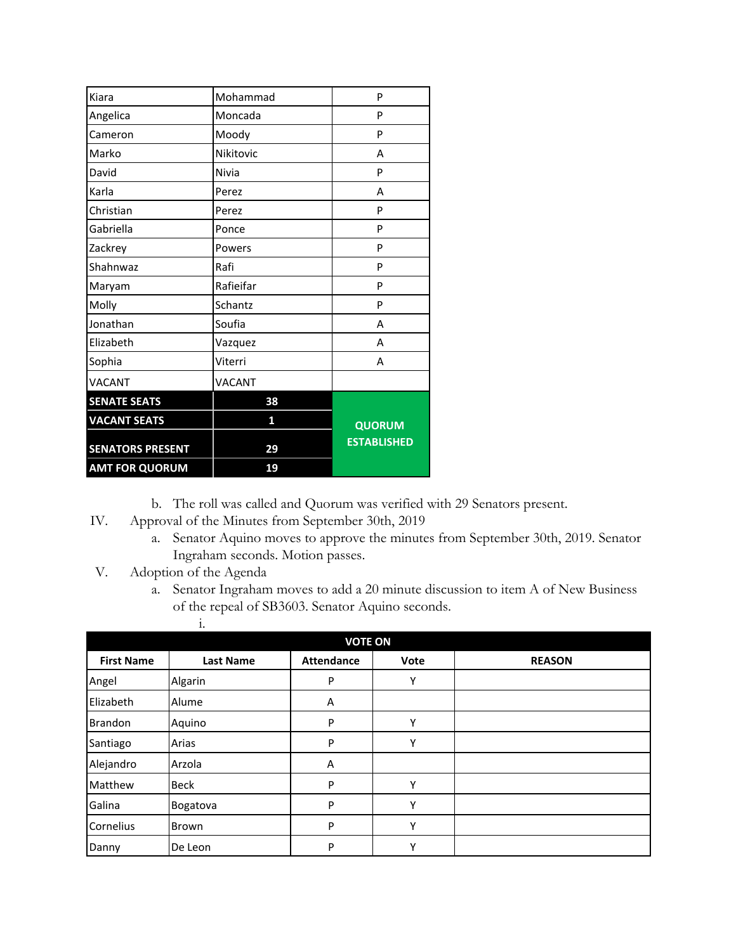| David                   | Nivia         | P                  |
|-------------------------|---------------|--------------------|
| Karla                   | Perez         | А                  |
| Christian               | Perez         | P                  |
| Gabriella               | Ponce         | P                  |
| Zackrey                 | Powers        | P                  |
| Shahnwaz                | Rafi          | P                  |
| Maryam                  | Rafieifar     | P                  |
| Molly                   | Schantz       | P                  |
| Jonathan                | Soufia        | А                  |
| Elizabeth               | Vazquez       | А                  |
| Sophia                  | Viterri       | А                  |
| VACANT                  | <b>VACANT</b> |                    |
| <b>SENATE SEATS</b>     | 38            |                    |
| <b>VACANT SEATS</b>     | 1             | QUORUM             |
| <b>SENATORS PRESENT</b> | 29            | <b>ESTABLISHED</b> |
|                         |               |                    |
| <b>AMT FOR QUORUM</b>   | 19            |                    |

- b. The roll was called and Quorum was verified with 29 Senators present.
- IV. Approval of the Minutes from September 30th, 2019
	- a. Senator Aquino moves to approve the minutes from September 30th, 2019. Senator Ingraham seconds. Motion passes.
- V. Adoption of the Agenda
	- a. Senator Ingraham moves to add a 20 minute discussion to item A of New Business of the repeal of SB3603. Senator Aquino seconds.

|                   | 1.               |                   |      |               |
|-------------------|------------------|-------------------|------|---------------|
|                   |                  |                   |      |               |
| <b>First Name</b> | <b>Last Name</b> | <b>Attendance</b> | Vote | <b>REASON</b> |
| Angel             | Algarin          | P                 | Υ    |               |
| Elizabeth         | Alume            | Α                 |      |               |
| <b>Brandon</b>    | Aquino           | P                 | Υ    |               |
| Santiago          | Arias            | P                 | Υ    |               |
| Alejandro         | Arzola           | Α                 |      |               |
| Matthew           | <b>Beck</b>      | P                 | Υ    |               |
| Galina            | Bogatova         | P                 | Υ    |               |
| Cornelius         | Brown            | P                 | Υ    |               |
| Danny             | De Leon          | P                 | Υ    |               |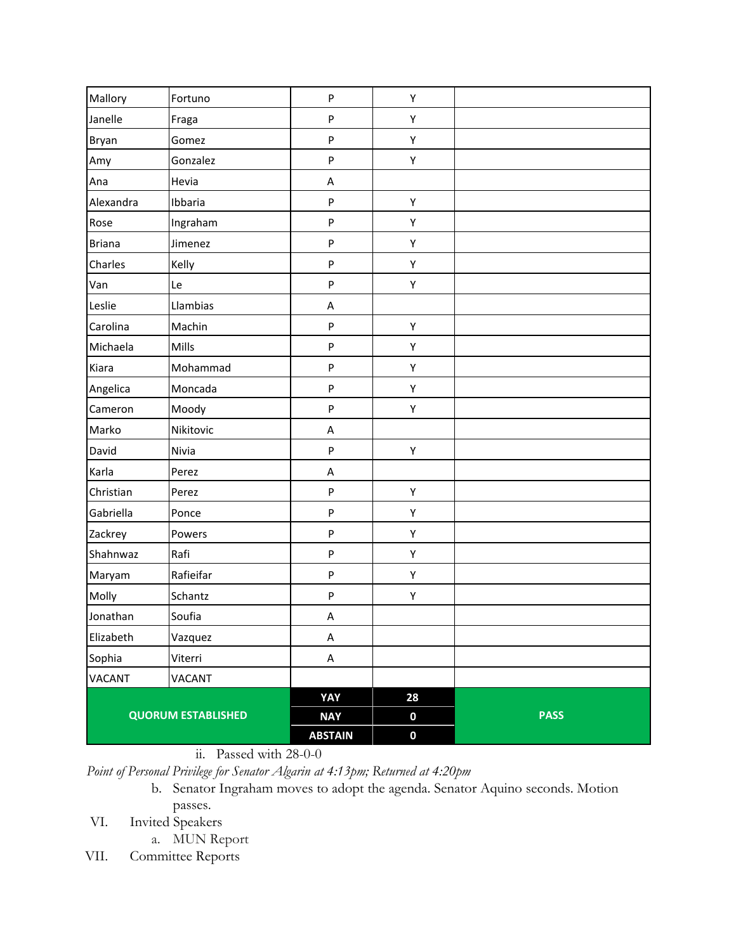| Mallory                   | Fortuno   | ${\sf P}$      | Υ                |             |
|---------------------------|-----------|----------------|------------------|-------------|
| Janelle                   | Fraga     | ${\sf P}$      | Υ                |             |
| Bryan                     | Gomez     | ${\sf P}$      | Υ                |             |
| Amy                       | Gonzalez  | ${\sf P}$      | Υ                |             |
| Ana                       | Hevia     | A              |                  |             |
| Alexandra                 | Ibbaria   | ${\sf P}$      | Υ                |             |
| Rose                      | Ingraham  | ${\sf P}$      | Υ                |             |
| <b>Briana</b>             | Jimenez   | ${\sf P}$      | Υ                |             |
| Charles                   | Kelly     | ${\sf P}$      | Υ                |             |
| Van                       | Le        | ${\sf P}$      | Υ                |             |
| Leslie                    | Llambias  | Α              |                  |             |
| Carolina                  | Machin    | ${\sf P}$      | Υ                |             |
| Michaela                  | Mills     | ${\sf P}$      | Υ                |             |
| Kiara                     | Mohammad  | ${\sf P}$      | Υ                |             |
| Angelica                  | Moncada   | ${\sf P}$      | Υ                |             |
| Cameron                   | Moody     | P              | Υ                |             |
| Marko                     | Nikitovic | Α              |                  |             |
| David                     | Nivia     | ${\sf P}$      | Υ                |             |
| Karla                     | Perez     | А              |                  |             |
| Christian                 | Perez     | $\sf P$        | Υ                |             |
| Gabriella                 | Ponce     | ${\sf P}$      | Υ                |             |
| Zackrey                   | Powers    | $\sf P$        | Υ                |             |
| Shahnwaz                  | Rafi      | ${\sf P}$      | Υ                |             |
| Maryam                    | Rafieifar | ${\sf P}$      | Υ                |             |
| Molly                     | Schantz   | P              | Υ                |             |
| Jonathan                  | Soufia    | A              |                  |             |
| Elizabeth                 | Vazquez   | A              |                  |             |
| Sophia                    | Viterri   | $\sf A$        |                  |             |
| VACANT                    | VACANT    |                |                  |             |
|                           |           | YAY            | 28               |             |
| <b>QUORUM ESTABLISHED</b> |           | <b>NAY</b>     | $\boldsymbol{0}$ | <b>PASS</b> |
|                           |           | <b>ABSTAIN</b> | $\pmb{0}$        |             |

ii. Passed with 28-0-0

*Point of Personal Privilege for Senator Algarin at 4:13pm; Returned at 4:20pm*

b. Senator Ingraham moves to adopt the agenda. Senator Aquino seconds. Motion passes.

VI. Invited Speakers

a. MUN Report

VII. Committee Reports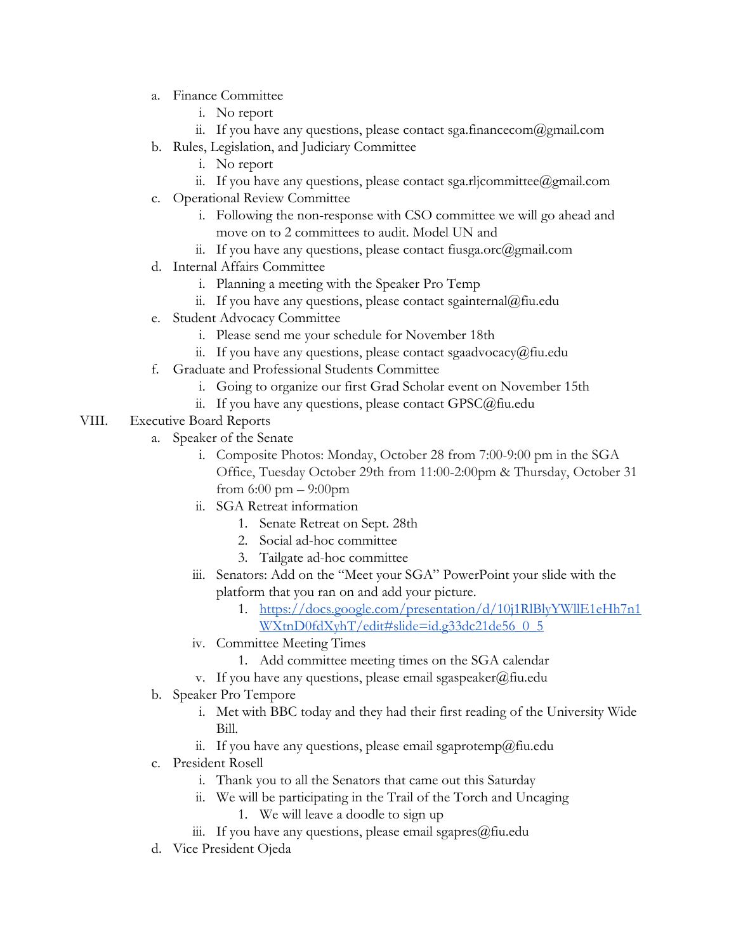- a. Finance Committee
	- i. No report
	- ii. If you have any questions, please contact sga.financecom@gmail.com
- b. Rules, Legislation, and Judiciary Committee
	- i. No report
	- ii. If you have any questions, please contact sga.rljcommittee@gmail.com
- c. Operational Review Committee
	- i. Following the non-response with CSO committee we will go ahead and move on to 2 committees to audit. Model UN and
	- ii. If you have any questions, please contact fiusga.orc@gmail.com
- d. Internal Affairs Committee
	- i. Planning a meeting with the Speaker Pro Temp
	- ii. If you have any questions, please contact sgainternal@fiu.edu
- e. Student Advocacy Committee
	- i. Please send me your schedule for November 18th
	- ii. If you have any questions, please contact sgaadvocacy@fiu.edu
- f. Graduate and Professional Students Committee
	- i. Going to organize our first Grad Scholar event on November 15th
	- ii. If you have any questions, please contact GPSC@fiu.edu
- VIII. Executive Board Reports
	- a. Speaker of the Senate
		- i. Composite Photos: Monday, October 28 from 7:00-9:00 pm in the SGA Office, Tuesday October 29th from 11:00-2:00pm & Thursday, October 31 from  $6:00 \text{ pm} - 9:00 \text{ pm}$
		- ii. SGA Retreat information
			- 1. Senate Retreat on Sept. 28th
			- 2. Social ad-hoc committee
			- 3. Tailgate ad-hoc committee
		- iii. Senators: Add on the "Meet your SGA" PowerPoint your slide with the platform that you ran on and add your picture.
			- 1. [https://docs.google.com/presentation/d/10j1RlBlyYWllE1eHh7n1](https://docs.google.com/presentation/d/10j1RlBlyYWllE1eHh7n1WXtnD0fdXyhT/edit#slide=id.g33dc21de56_0_5) [WXtnD0fdXyhT/edit#slide=id.g33dc21de56\\_0\\_5](https://docs.google.com/presentation/d/10j1RlBlyYWllE1eHh7n1WXtnD0fdXyhT/edit#slide=id.g33dc21de56_0_5)
		- iv. Committee Meeting Times
			- 1. Add committee meeting times on the SGA calendar
		- v. If you have any questions, please email sgaspeaker@fiu.edu
	- b. Speaker Pro Tempore
		- i. Met with BBC today and they had their first reading of the University Wide Bill.
		- ii. If you have any questions, please email sgaprotemp@fiu.edu
	- c. President Rosell
		- i. Thank you to all the Senators that came out this Saturday
		- ii. We will be participating in the Trail of the Torch and Uncaging
			- 1. We will leave a doodle to sign up
		- iii. If you have any questions, please email sgapres@fiu.edu
	- d. Vice President Ojeda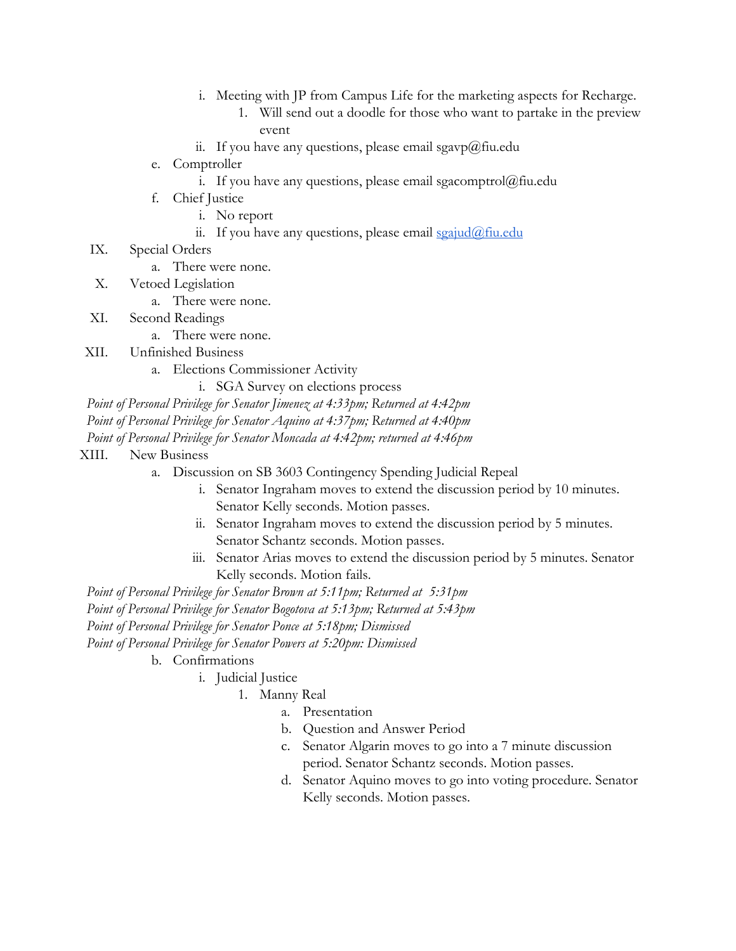- i. Meeting with JP from Campus Life for the marketing aspects for Recharge.
	- 1. Will send out a doodle for those who want to partake in the preview event
- ii. If you have any questions, please email sgavp@fiu.edu
- e. Comptroller
	- i. If you have any questions, please email sgacomptrol $@$ fiu.edu
- f. Chief Justice
	- i. No report
	- ii. If you have any questions, please email  $\frac{\sigma}{\sigma}$  in  $\frac{\sigma}{\sigma}$
- IX. Special Orders
	- a. There were none.
- X. Vetoed Legislation
	- a. There were none.
- XI. Second Readings
	- a. There were none.
- XII. Unfinished Business
	- a. Elections Commissioner Activity
		- i. SGA Survey on elections process
- *Point of Personal Privilege for Senator Jimenez at 4:33pm; Returned at 4:42pm*

*Point of Personal Privilege for Senator Aquino at 4:37pm; Returned at 4:40pm*

*Point of Personal Privilege for Senator Moncada at 4:42pm; returned at 4:46pm*

- XIII. New Business
	- a. Discussion on SB 3603 Contingency Spending Judicial Repeal
		- i. Senator Ingraham moves to extend the discussion period by 10 minutes. Senator Kelly seconds. Motion passes.
		- ii. Senator Ingraham moves to extend the discussion period by 5 minutes. Senator Schantz seconds. Motion passes.
		- iii. Senator Arias moves to extend the discussion period by 5 minutes. Senator Kelly seconds. Motion fails.

*Point of Personal Privilege for Senator Brown at 5:11pm; Returned at 5:31pm*

*Point of Personal Privilege for Senator Bogotova at 5:13pm; Returned at 5:43pm*

*Point of Personal Privilege for Senator Ponce at 5:18pm; Dismissed*

*Point of Personal Privilege for Senator Powers at 5:20pm: Dismissed*

- b. Confirmations
	- i. Judicial Justice
		- 1. Manny Real
			- a. Presentation
			- b. Question and Answer Period
			- c. Senator Algarin moves to go into a 7 minute discussion period. Senator Schantz seconds. Motion passes.
			- d. Senator Aquino moves to go into voting procedure. Senator Kelly seconds. Motion passes.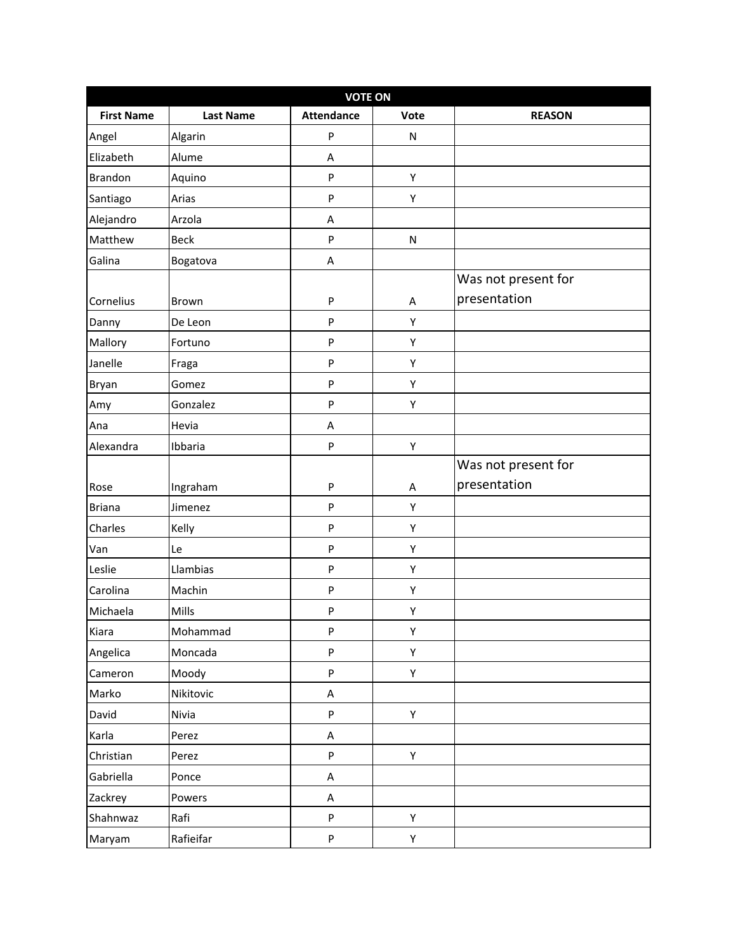| <b>VOTE ON</b>    |                  |                   |           |                     |
|-------------------|------------------|-------------------|-----------|---------------------|
| <b>First Name</b> | <b>Last Name</b> | <b>Attendance</b> | Vote      | <b>REASON</b>       |
| Angel             | Algarin          | ${\sf P}$         | N         |                     |
| Elizabeth         | Alume            | A                 |           |                     |
| <b>Brandon</b>    | Aquino           | ${\sf P}$         | Υ         |                     |
| Santiago          | Arias            | ${\sf P}$         | Υ         |                     |
| Alejandro         | Arzola           | Α                 |           |                     |
| Matthew           | <b>Beck</b>      | ${\sf P}$         | ${\sf N}$ |                     |
| Galina            | Bogatova         | Α                 |           |                     |
|                   |                  |                   |           | Was not present for |
| Cornelius         | Brown            | ${\sf P}$         | A         | presentation        |
| Danny             | De Leon          | P                 | Υ         |                     |
| Mallory           | Fortuno          | ${\sf P}$         | Υ         |                     |
| Janelle           | Fraga            | ${\sf P}$         | Υ         |                     |
| Bryan             | Gomez            | ${\sf P}$         | Υ         |                     |
| Amy               | Gonzalez         | ${\sf P}$         | Υ         |                     |
| Ana               | Hevia            | Α                 |           |                     |
| Alexandra         | Ibbaria          | ${\sf P}$         | Υ         |                     |
|                   |                  |                   |           | Was not present for |
| Rose              | Ingraham         | ${\sf P}$         | Α         | presentation        |
| <b>Briana</b>     | Jimenez          | ${\sf P}$         | Υ         |                     |
| Charles           | Kelly            | ${\sf P}$         | Υ         |                     |
| Van               | Le               | ${\sf P}$         | Υ         |                     |
| Leslie            | Llambias         | ${\sf P}$         | Υ         |                     |
| Carolina          | Machin           | ${\sf P}$         | Υ         |                     |
| Michaela          | Mills            | ${\sf P}$         | Υ         |                     |
| Kiara             | Mohammad         | ${\sf P}$         | Υ         |                     |
| Angelica          | Moncada          | P                 | Υ         |                     |
| Cameron           | Moody            | P                 | Y         |                     |
| Marko             | Nikitovic        | $\mathsf A$       |           |                     |
| David             | Nivia            | P                 | Y         |                     |
| Karla             | Perez            | A                 |           |                     |
| Christian         | Perez            | P                 | Y         |                     |
| Gabriella         | Ponce            | $\sf A$           |           |                     |
| Zackrey           | Powers           | A                 |           |                     |
| Shahnwaz          | Rafi             | P                 | Y         |                     |
| Maryam            | Rafieifar        | P                 | Υ         |                     |